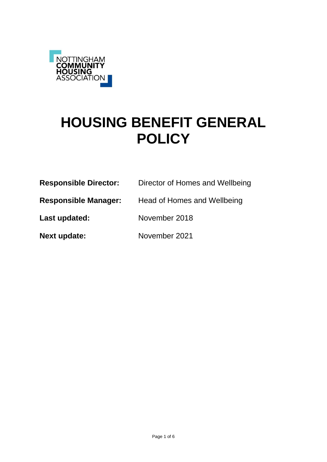

# **HOUSING BENEFIT GENERAL POLICY**

| <b>Responsible Director:</b> | Director of Homes and Wellbeing |
|------------------------------|---------------------------------|
| <b>Responsible Manager:</b>  | Head of Homes and Wellbeing     |
| Last updated:                | November 2018                   |
| <b>Next update:</b>          | November 2021                   |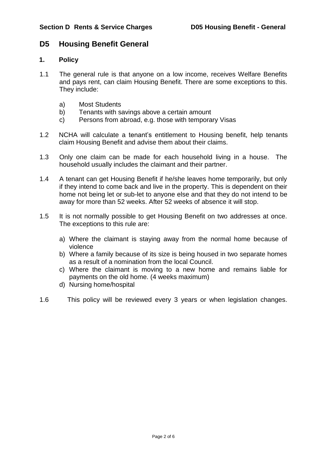## **D5 Housing Benefit General**

## **1. Policy**

- 1.1 The general rule is that anyone on a low income, receives Welfare Benefits and pays rent, can claim Housing Benefit. There are some exceptions to this. They include:
	- a) Most Students
	- b) Tenants with savings above a certain amount
	- c) Persons from abroad, e.g. those with temporary Visas
- 1.2 NCHA will calculate a tenant's entitlement to Housing benefit, help tenants claim Housing Benefit and advise them about their claims.
- 1.3 Only one claim can be made for each household living in a house. The household usually includes the claimant and their partner.
- 1.4 A tenant can get Housing Benefit if he/she leaves home temporarily, but only if they intend to come back and live in the property. This is dependent on their home not being let or sub-let to anyone else and that they do not intend to be away for more than 52 weeks. After 52 weeks of absence it will stop.
- 1.5 It is not normally possible to get Housing Benefit on two addresses at once. The exceptions to this rule are:
	- a) Where the claimant is staying away from the normal home because of violence
	- b) Where a family because of its size is being housed in two separate homes as a result of a nomination from the local Council.
	- c) Where the claimant is moving to a new home and remains liable for payments on the old home. (4 weeks maximum)
	- d) Nursing home/hospital
- 1.6 This policy will be reviewed every 3 years or when legislation changes.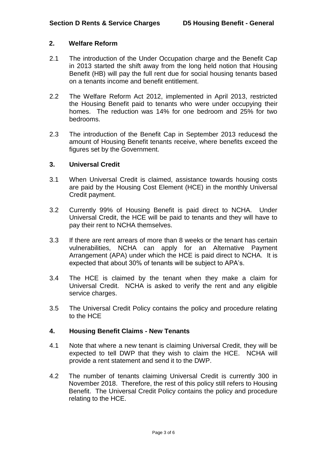## **2. Welfare Reform**

- 2.1 The introduction of the Under Occupation charge and the Benefit Cap in 2013 started the shift away from the long held notion that Housing Benefit (HB) will pay the full rent due for social housing tenants based on a tenants income and benefit entitlement.
- 2.2 The Welfare Reform Act 2012, implemented in April 2013, restricted the Housing Benefit paid to tenants who were under occupying their homes. The reduction was 14% for one bedroom and 25% for two bedrooms.
- 2.3 The introduction of the Benefit Cap in September 2013 reducesd the amount of Housing Benefit tenants receive, where benefits exceed the figures set by the Government.

#### **3. Universal Credit**

- 3.1 When Universal Credit is claimed, assistance towards housing costs are paid by the Housing Cost Element (HCE) in the monthly Universal Credit payment.
- 3.2 Currently 99% of Housing Benefit is paid direct to NCHA. Under Universal Credit, the HCE will be paid to tenants and they will have to pay their rent to NCHA themselves.
- 3.3 If there are rent arrears of more than 8 weeks or the tenant has certain vulnerabilities, NCHA can apply for an Alternative Payment Arrangement (APA) under which the HCE is paid direct to NCHA. It is expected that about 30% of tenants will be subject to APA's.
- 3.4 The HCE is claimed by the tenant when they make a claim for Universal Credit. NCHA is asked to verify the rent and any eligible service charges.
- 3.5 The Universal Credit Policy contains the policy and procedure relating to the HCE

## **4. Housing Benefit Claims - New Tenants**

- 4.1 Note that where a new tenant is claiming Universal Credit, they will be expected to tell DWP that they wish to claim the HCE. NCHA will provide a rent statement and send it to the DWP.
- 4.2 The number of tenants claiming Universal Credit is currently 300 in November 2018. Therefore, the rest of this policy still refers to Housing Benefit. The Universal Credit Policy contains the policy and procedure relating to the HCE.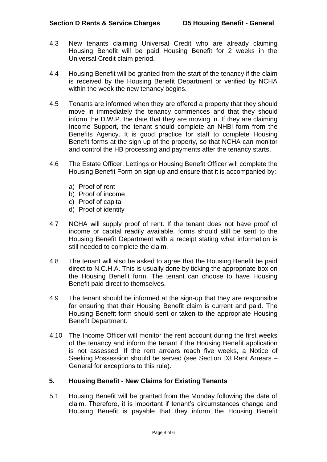- 4.3 New tenants claiming Universal Credit who are already claiming Housing Benefit will be paid Housing Benefit for 2 weeks in the Universal Credit claim period.
- 4.4 Housing Benefit will be granted from the start of the tenancy if the claim is received by the Housing Benefit Department or verified by NCHA within the week the new tenancy begins.
- 4.5 Tenants are informed when they are offered a property that they should move in immediately the tenancy commences and that they should inform the D.W.P. the date that they are moving in. If they are claiming Income Support, the tenant should complete an NHBl form from the Benefits Agency. It is good practice for staff to complete Housing Benefit forms at the sign up of the property, so that NCHA can monitor and control the HB processing and payments after the tenancy starts.
- 4.6 The Estate Officer, Lettings or Housing Benefit Officer will complete the Housing Benefit Form on sign-up and ensure that it is accompanied by:
	- a) Proof of rent
	- b) Proof of income
	- c) Proof of capital
	- d) Proof of identity
- 4.7 NCHA will supply proof of rent. If the tenant does not have proof of income or capital readily available, forms should still be sent to the Housing Benefit Department with a receipt stating what information is still needed to complete the claim.
- 4.8 The tenant will also be asked to agree that the Housing Benefit be paid direct to N.C.H.A. This is usually done by ticking the appropriate box on the Housing Benefit form. The tenant can choose to have Housing Benefit paid direct to themselves.
- 4.9 The tenant should be informed at the sign-up that they are responsible for ensuring that their Housing Benefit claim is current and paid. The Housing Benefit form should sent or taken to the appropriate Housing Benefit Department.
- 4.10 The Income Officer will monitor the rent account during the first weeks of the tenancy and inform the tenant if the Housing Benefit application is not assessed. If the rent arrears reach five weeks, a Notice of Seeking Possession should be served (see Section D3 Rent Arrears – General for exceptions to this rule).

## **5. Housing Benefit - New Claims for Existing Tenants**

5.1 Housing Benefit will be granted from the Monday following the date of claim. Therefore, it is important if tenant's circumstances change and Housing Benefit is payable that they inform the Housing Benefit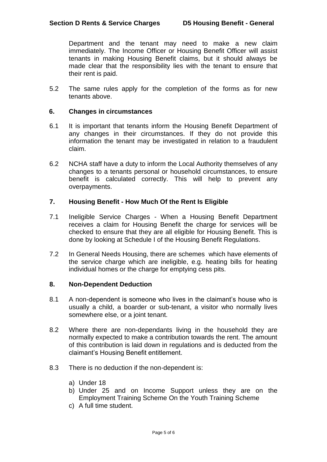Department and the tenant may need to make a new claim immediately. The Income Officer or Housing Benefit Officer will assist tenants in making Housing Benefit claims, but it should always be made clear that the responsibility lies with the tenant to ensure that their rent is paid.

5.2 The same rules apply for the completion of the forms as for new tenants above.

#### **6. Changes in circumstances**

- 6.1 It is important that tenants inform the Housing Benefit Department of any changes in their circumstances. If they do not provide this information the tenant may be investigated in relation to a fraudulent claim.
- 6.2 NCHA staff have a duty to inform the Local Authority themselves of any changes to a tenants personal or household circumstances, to ensure benefit is calculated correctly. This will help to prevent any overpayments.

#### **7. Housing Benefit - How Much Of the Rent Is Eligible**

- 7.1 Ineligible Service Charges When a Housing Benefit Department receives a claim for Housing Benefit the charge for services will be checked to ensure that they are all eligible for Housing Benefit. This is done by looking at Schedule I of the Housing Benefit Regulations.
- 7.2 In General Needs Housing, there are schemes which have elements of the service charge which are ineligible, e.g. heating bills for heating individual homes or the charge for emptying cess pits.

#### **8. Non-Dependent Deduction**

- 8.1 A non-dependent is someone who lives in the claimant's house who is usually a child, a boarder or sub-tenant, a visitor who normally lives somewhere else, or a joint tenant.
- 8.2 Where there are non-dependants living in the household they are normally expected to make a contribution towards the rent. The amount of this contribution is laid down in regulations and is deducted from the claimant's Housing Benefit entitlement.
- 8.3 There is no deduction if the non-dependent is:
	- a) Under 18
	- b) Under 25 and on Income Support unless they are on the Employment Training Scheme On the Youth Training Scheme
	- c) A full time student.